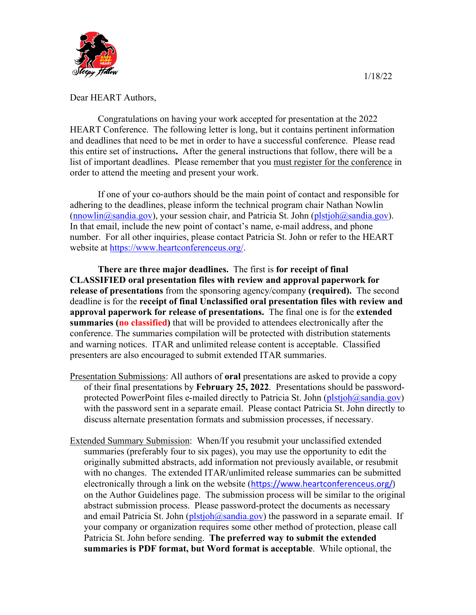

Congratulations on having your work accepted for presentation at the 2022 HEART Conference. The following letter is long, but it contains pertinent information and deadlines that need to be met in order to have a successful conference.Please read this entire set of instructions**.** After the general instructions that follow, there will be a list of important deadlines. Please remember that you must register for the conference in order to attend the meeting and present your work.

If one of your co-authors should be the main point of contact and responsible for adhering to the deadlines, please inform the technical program chair Nathan Nowlin  $(\text{mowlin@sandia.gov})$ , your session chair, and Patricia St. John  $(\text{plstjob@sandia.gov})$ . In that email, include the new point of contact's name, e-mail address, and phone number. For all other inquiries, please contact Patricia St. John or refer to the HEART website at [https://www.heartconferenceus.org/.](https://www.heartconferenceus.org/)

**There are three major deadlines.** The first is **for receipt of final CLASSIFIED oral presentation files with review and approval paperwork for release of presentations** from the sponsoring agency/company **(required).** The second deadline is for the **receipt of final Unclassified oral presentation files with review and approval paperwork for release of presentations.** The final one is for the **extended summaries (no classified)** that will be provided to attendees electronically after the conference. The summaries compilation will be protected with distribution statements and warning notices. ITAR and unlimited release content is acceptable. Classified presenters are also encouraged to submit extended ITAR summaries.

- Presentation Submissions: All authors of **oral** presentations are asked to provide a copy of their final presentations by **February 25, 2022**. Presentations should be passwordprotected PowerPoint files e-mailed directly to Patricia St. John  $(\text{plstioh@sandia.gov})$ with the password sent in a separate email. Please contact Patricia St. John directly to discuss alternate presentation formats and submission processes, if necessary.
- Extended Summary Submission: When/If you resubmit your unclassified extended summaries (preferably four to six pages), you may use the opportunity to edit the originally submitted abstracts, add information not previously available, or resubmit with no changes. The extended ITAR/unlimited release summaries can be submitted electronically through a link on the website ([https://www.heartconferenceus.org/\)](https://www.heartconferenceus.org/) on the Author Guidelines page. The submission process will be similar to the original abstract submission process. Please password-protect the documents as necessary and email Patricia St. John ( $plstjoh(@sandia.gov)$ ) the password in a separate email. If your company or organization requires some other method of protection, please call Patricia St. John before sending. **The preferred way to submit the extended summaries is PDF format, but Word format is acceptable**. While optional, the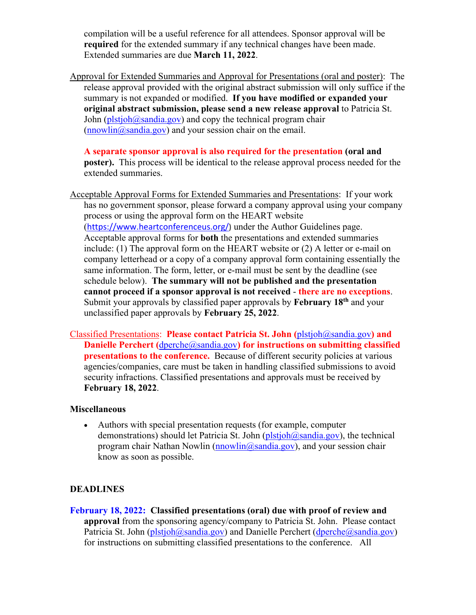compilation will be a useful reference for all attendees. Sponsor approval will be **required** for the extended summary if any technical changes have been made. Extended summaries are due **March 11, 2022**.

Approval for Extended Summaries and Approval for Presentations (oral and poster): The release approval provided with the original abstract submission will only suffice if the summary is not expanded or modified. **If you have modified or expanded your original abstract submission, please send a new release approval** to Patricia St. John ( $plstjoh@sandia.gov$ ) and copy the technical program chair  $(nnowlin@sandia.gov)$  and your session chair on the email.

**A separate sponsor approval is also required for the presentation (oral and poster).** This process will be identical to the release approval process needed for the extended summaries.

- Acceptable Approval Forms for Extended Summaries and Presentations: If your work has no government sponsor, please forward a company approval using your company process or using the approval form on the HEART website ([https://www.heartconferenceus.org/\)](https://www.heartconferenceus.org/) under the Author Guidelines page. Acceptable approval forms for **both** the presentations and extended summaries include: (1) The approval form on the HEART website or (2) A letter or e-mail on company letterhead or a copy of a company approval form containing essentially the same information. The form, letter, or e-mail must be sent by the deadline (see schedule below). **The summary will not be published and the presentation cannot proceed if a sponsor approval is not received** - **there are no exceptions**. Submit your approvals by classified paper approvals by **February 18th** and your unclassified paper approvals by **February 25, 2022**.
- Classified Presentations: **Please contact Patricia St. John (**[plstjoh@sandia.gov](mailto:plstjoh@sandia.gov)**) and Danielle Perchert (**[dperche@sandia.gov](mailto:dperche@sandia.gov)) for instructions on submitting classified **presentations to the conference.** Because of different security policies at various agencies/companies, care must be taken in handling classified submissions to avoid security infractions. Classified presentations and approvals must be received by **February 18, 2022**.

## **Miscellaneous**

• Authors with special presentation requests (for example, computer demonstrations) should let Patricia St. John  $(\text{plstioh@sandia.gov})$ , the technical program chair Nathan Nowlin  $(nnowlin@sandia.gov)$ , and your session chair know as soon as possible.

## **DEADLINES**

**February 18, 2022: Classified presentations (oral) due with proof of review and approval** from the sponsoring agency/company to Patricia St. John. Please contact Patricia St. John [\(plstjoh@sandia.gov\)](mailto:plstjoh@sandia.gov) and Danielle Perchert [\(dperche@sandia.gov\)](mailto:dperche@sandia.gov) for instructions on submitting classified presentations to the conference. All